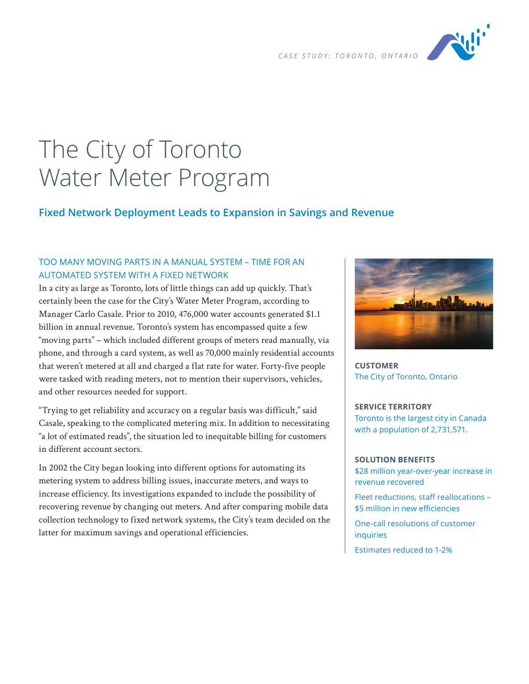

# The City of Toronto Water Meter Program

# **Fixed Network Deployment Leads to Expansion in Savings and Revenue**

# TOO MANY MOVING PARTS IN A MANUAL SYSTEM – TIME FOR AN AUTOMATED SYSTEM WITH A FIXED NETWORK

In a city as large as Toronto, lots of little things can add up quickly. That's certainly been the case for the City's Water Meter Program, according to Manager Carlo Casale. Prior to 2010, 476,000 water accounts generated \$1.1 billion in annual revenue. Toronto's system has encompassed quite a few "moving parts" – which included different groups of meters read manually, via phone, and through a card system, as well as 70,000 mainly residential accounts that weren't metered at all and charged a flat rate for water. Forty-five people were tasked with reading meters, not to mention their supervisors, vehicles, and other resources needed for support.

"Trying to get reliability and accuracy on a regular basis was difficult," said Casale, speaking to the complicated metering mix. In addition to necessitating "a lot of estimated reads", the situation led to inequitable billing for customers in different account sectors.

In 2002 the City began looking into different options for automating its metering system to address billing issues, inaccurate meters, and ways to increase efficiency. Its investigations expanded to include the possibility of recovering revenue by changing out meters. And after comparing mobile data collection technology to fixed network systems, the City's team decided on the latter for maximum savings and operational efficiencies.



**CUSTOMER** The City of Toronto, Ontario

### **SERVICE TERRITORY**

Toronto is the largest city in Canada with a population of 2,731,571.

#### **SOLUTION BENEFITS**

\$28 million year-over-year increase in revenue recovered

Fleet reductions, staff reallocations – \$5 million in new efficiencies

One-call resolutions of customer **inquiries** 

Estimates reduced to 1-2%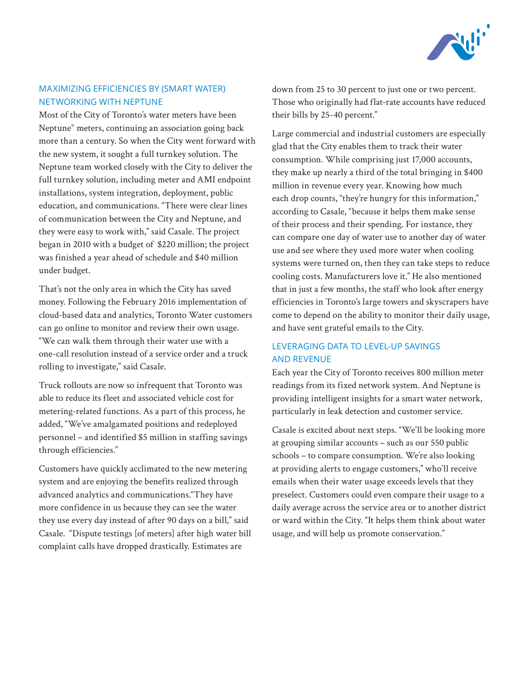

# MAXIMIZING EFFICIENCIES BY (SMART WATER) NETWORKING WITH NEPTUNE

Most of the City of Toronto's water meters have been Neptune® meters, continuing an association going back more than a century. So when the City went forward with the new system, it sought a full turnkey solution. The Neptune team worked closely with the City to deliver the full turnkey solution, including meter and AMI endpoint installations, system integration, deployment, public education, and communications. "There were clear lines of communication between the City and Neptune, and they were easy to work with," said Casale. The project began in 2010 with a budget of \$220 million; the project was finished a year ahead of schedule and \$40 million under budget.

That's not the only area in which the City has saved money. Following the February 2016 implementation of cloud-based data and analytics, Toronto Water customers can go online to monitor and review their own usage. "We can walk them through their water use with a one-call resolution instead of a service order and a truck rolling to investigate," said Casale.

Truck rollouts are now so infrequent that Toronto was able to reduce its fleet and associated vehicle cost for metering-related functions. As a part of this process, he added, "We've amalgamated positions and redeployed personnel – and identified \$5 million in staffing savings through efficiencies."

Customers have quickly acclimated to the new metering system and are enjoying the benefits realized through advanced analytics and communications."They have more confidence in us because they can see the water they use every day instead of after 90 days on a bill," said Casale. "Dispute testings [of meters] after high water bill complaint calls have dropped drastically. Estimates are

down from 25 to 30 percent to just one or two percent. Those who originally had flat-rate accounts have reduced their bills by 25-40 percent."

Large commercial and industrial customers are especially glad that the City enables them to track their water consumption. While comprising just 17,000 accounts, they make up nearly a third of the total bringing in \$400 million in revenue every year. Knowing how much each drop counts, "they're hungry for this information," according to Casale, "because it helps them make sense of their process and their spending. For instance, they can compare one day of water use to another day of water use and see where they used more water when cooling systems were turned on, then they can take steps to reduce cooling costs. Manufacturers love it." He also mentioned that in just a few months, the staff who look after energy efficiencies in Toronto's large towers and skyscrapers have come to depend on the ability to monitor their daily usage, and have sent grateful emails to the City.

# LEVERAGING DATA TO LEVEL-UP SAVINGS AND REVENUE

Each year the City of Toronto receives 800 million meter readings from its fixed network system. And Neptune is providing intelligent insights for a smart water network, particularly in leak detection and customer service.

Casale is excited about next steps. "We'll be looking more at grouping similar accounts – such as our 550 public schools – to compare consumption. We're also looking at providing alerts to engage customers," who'll receive emails when their water usage exceeds levels that they preselect. Customers could even compare their usage to a daily average across the service area or to another district or ward within the City. "It helps them think about water usage, and will help us promote conservation."